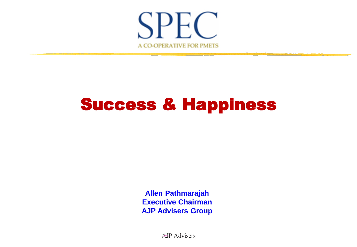

**Allen Pathmarajah Executive Chairman AJP Advisers Group**

A-JP Advisers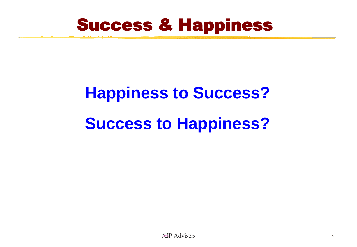

# **Happiness to Success? Success to Happiness?**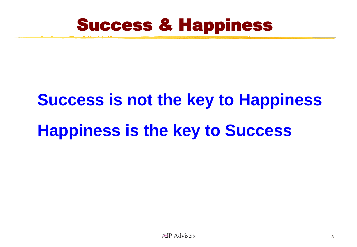

# **Success is not the key to Happiness Happiness is the key to Success**

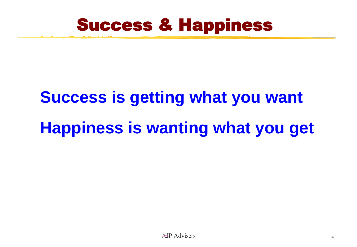

# **Success is getting what you want Happiness is wanting what you get**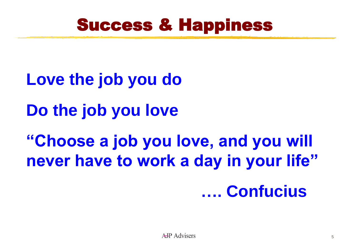

**Love the job you do Do the job you love "Choose a job you love, and you will never have to work a day in your life" …. Confucius**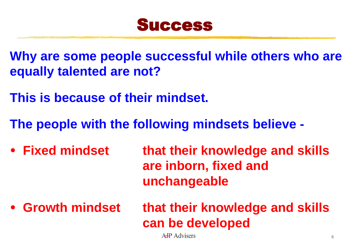

**Why are some people successful while others who are equally talented are not?**

**This is because of their mindset.**

**The people with the following mindsets believe -**

- **Fixed mindset that their knowledge and skills are inborn, fixed and unchangeable**
- **Growth mindset that their knowledge and skills can be developed**

A-IP Advisers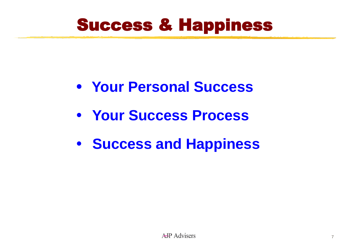- **Your Personal Success**
- **Your Success Process**
- **Success and Happiness**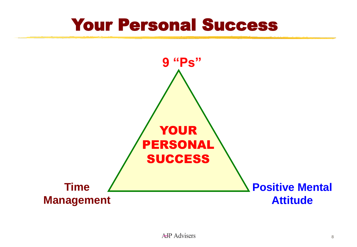#### Your Personal Success

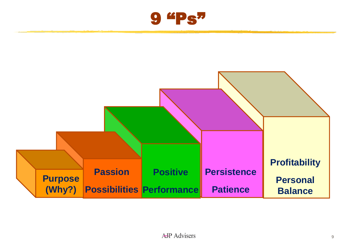

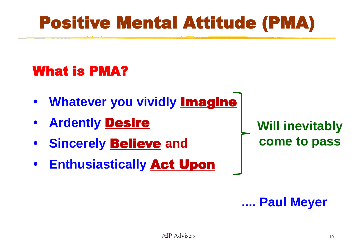# Positive Mental Attitude (PMA)

#### What is PMA?

- **Whatever you vividly Imagine**
- **Ardently** Desire
- **Sincerely Believe and**
- **Enthusiastically** Act Upon

**Will inevitably come to pass**

**.... Paul Meyer**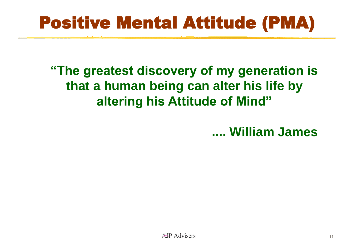# Positive Mental Attitude (PMA)

#### **"The greatest discovery of my generation is that a human being can alter his life by altering his Attitude of Mind"**

**.... William James**

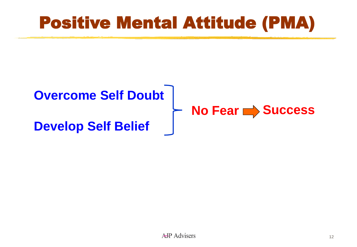# Positive Mental Attitude (PMA)

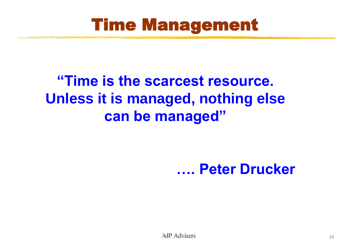#### **"Time is the scarcest resource. Unless it is managed, nothing else can be managed"**

#### **…. Peter Drucker**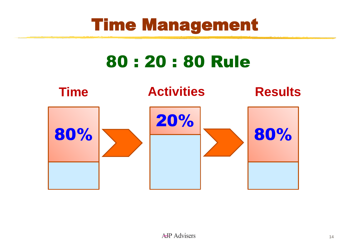# 80 : 20 : 80 Rule

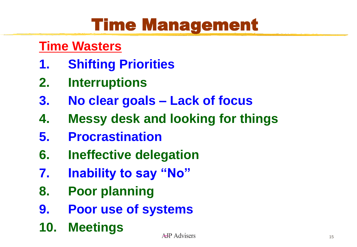#### **Time Wasters**

- **1. Shifting Priorities**
- **2. Interruptions**
- **3. No clear goals – Lack of focus**
- **4. Messy desk and looking for things**
- **5. Procrastination**
- **6. Ineffective delegation**
- **7. Inability to say "No"**
- **8. Poor planning**
- **9. Poor use of systems**
- **10. Meetings**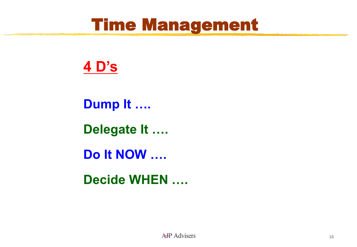#### **4 D's**

**Dump It ….**

**Delegate It ….**

**Do It NOW ….**

**Decide WHEN ….**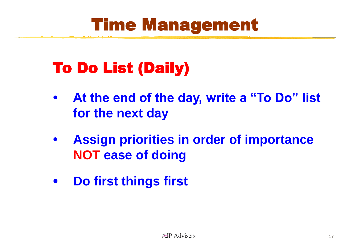## To Do List (Daily)

- **At the end of the day, write a "To Do" list for the next day**
- **Assign priorities in order of importance NOT ease of doing**
- **Do first things first**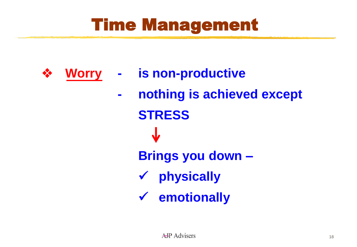- ❖ **Worry**
- **- is non-productive**
	- **- nothing is achieved except STRESS Brings you down –** ✓ **physically** ✓ **emotionally**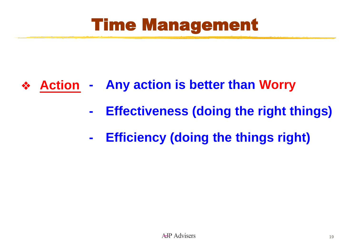- **- Any action is better than Worry** ❖ **Action**
	- **- Effectiveness (doing the right things)**
	- **- Efficiency (doing the things right)**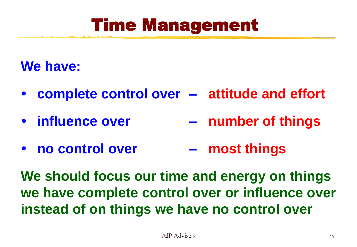#### **We have:**

- **complete control over – attitude and effort**
- **influence over – number of things**
- **no control over – most things**

**We should focus our time and energy on things we have complete control over or influence over instead of on things we have no control over**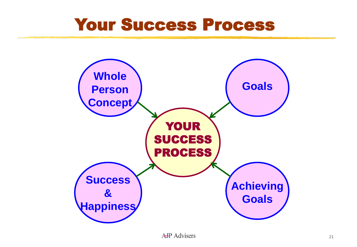#### Your Success Process

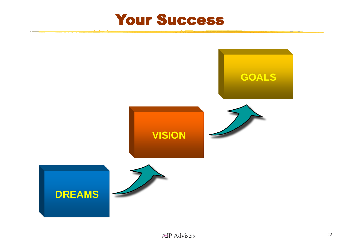

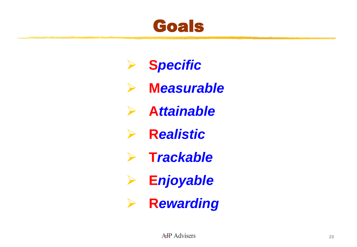#### Goals

➢ **S***pecific* ➢ **M***easurable* ➢ **A***ttainable*  $\blacktriangleright$ **R***ealistic* ➢ **T***rackable* ➢ **E***njoyable* ➢ **R***ewarding*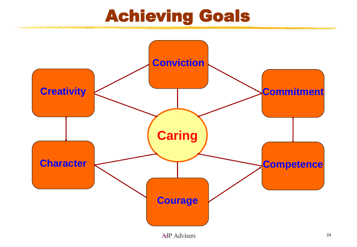### Achieving Goals

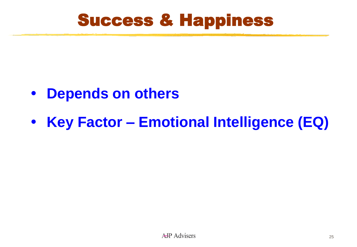- **Depends on others**
- **Key Factor – Emotional Intelligence (EQ)**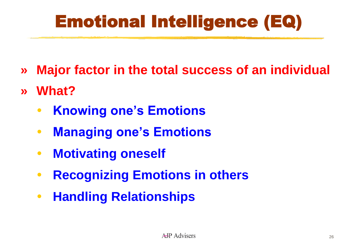# Emotional Intelligence (EQ)

- **» Major factor in the total success of an individual**
- **» What?**
	- **Knowing one's Emotions**
	- **Managing one's Emotions**
	- **Motivating oneself**
	- **Recognizing Emotions in others**
	- **Handling Relationships**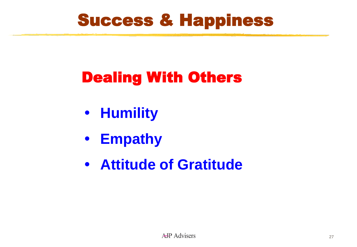### Dealing With Others

- **Humility**
- **Empathy**
- **Attitude of Gratitude**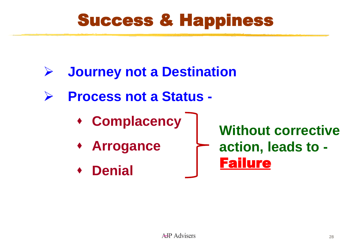- ➢ **Journey not a Destination**
- ➢ **Process not a Status -**
	- ⬧ **Complacency**
	- ⬧ **Arrogance**
	- ⬧ **Denial**

**Without corrective action, leads to -** Failure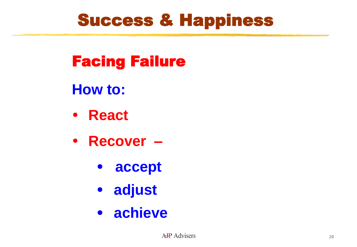Facing Failure

**How to:**

- **React**
- **Recover –**
	- **accept**
	- **adjust**
	- **achieve**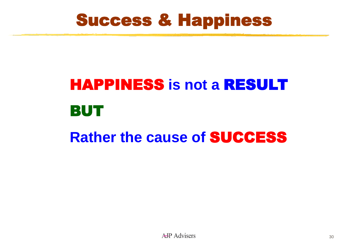# HAPPINESS **is not a** RESULT BUT **Rather the cause of** SUCCESS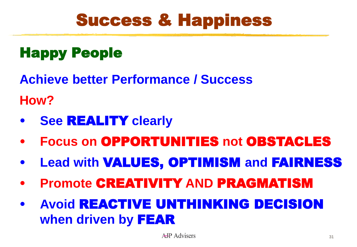#### Happy People

**Achieve better Performance / Success**

**How?**

- **See** REALITY **clearly**
- **Focus on** OPPORTUNITIES **not** OBSTACLES
- **Lead with** VALUES, OPTIMISM **and** FAIRNESS
- **Promote** CREATIVITY **AND** PRAGMATISM
- **Avoid** REACTIVE UNTHINKING DECISION **when driven by** FEAR